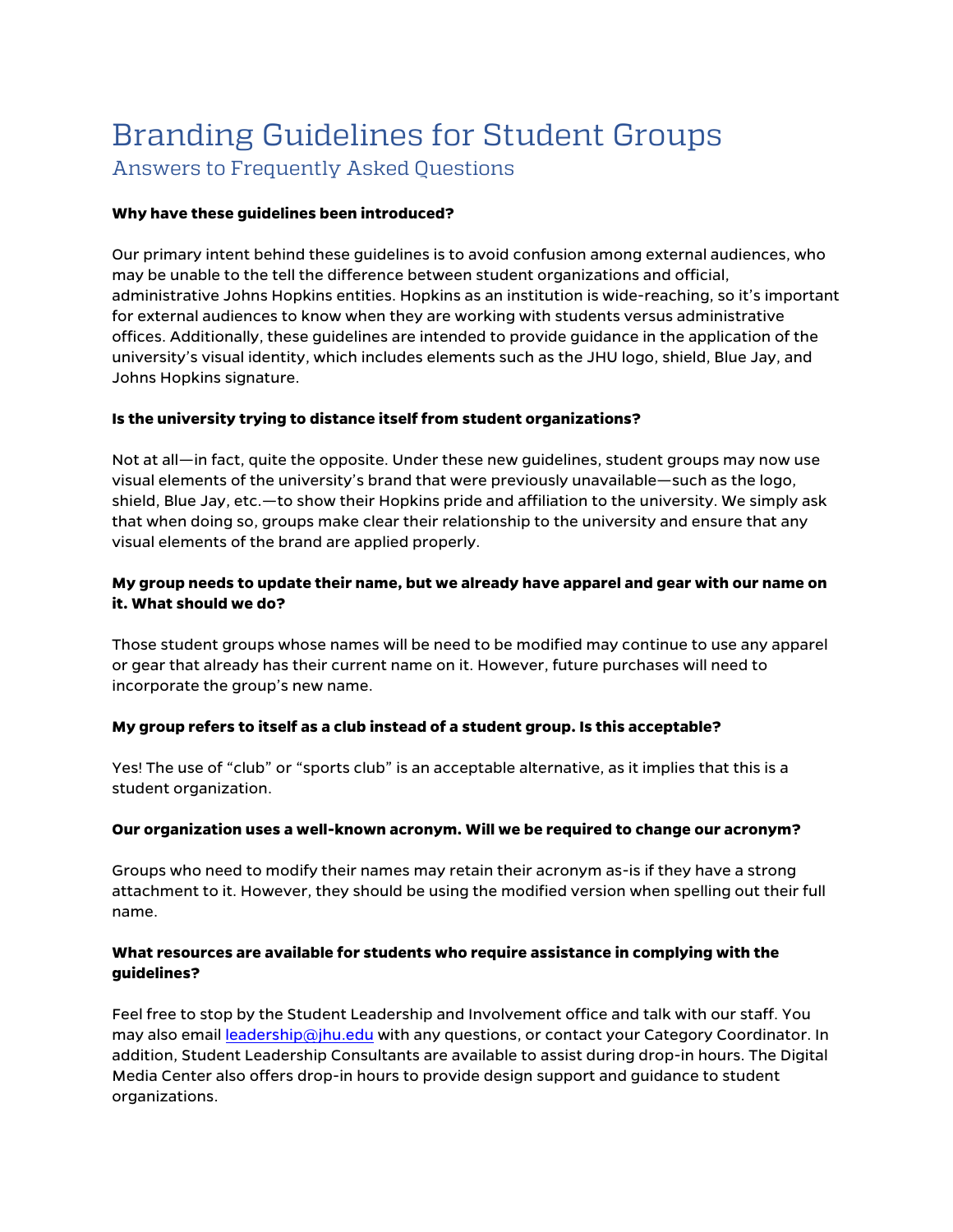# Branding Guidelines for Student Groups Answers to Frequently Asked Questions

### **Why have these guidelines been introduced?**

Our primary intent behind these guidelines is to avoid confusion among external audiences, who may be unable to the tell the difference between student organizations and official, administrative Johns Hopkins entities. Hopkins as an institution is wide-reaching, so it's important for external audiences to know when they are working with students versus administrative offices. Additionally, these guidelines are intended to provide guidance in the application of the university's visual identity, which includes elements such as the JHU logo, shield, Blue Jay, and Johns Hopkins signature.

#### **Is the university trying to distance itself from student organizations?**

Not at all—in fact, quite the opposite. Under these new guidelines, student groups may now use visual elements of the university's brand that were previously unavailable—such as the logo, shield, Blue Jay, etc.—to show their Hopkins pride and affiliation to the university. We simply ask that when doing so, groups make clear their relationship to the university and ensure that any visual elements of the brand are applied properly.

# **My group needs to update their name, but we already have apparel and gear with our name on it. What should we do?**

Those student groups whose names will be need to be modified may continue to use any apparel or gear that already has their current name on it. However, future purchases will need to incorporate the group's new name.

#### **My group refers to itself as a club instead of a student group. Is this acceptable?**

Yes! The use of "club" or "sports club" is an acceptable alternative, as it implies that this is a student organization.

#### **Our organization uses a well-known acronym. Will we be required to change our acronym?**

Groups who need to modify their names may retain their acronym as-is if they have a strong attachment to it. However, they should be using the modified version when spelling out their full name.

## **What resources are available for students who require assistance in complying with the guidelines?**

Feel free to stop by the Student Leadership and Involvement office and talk with our staff. You may also email leadership@jhu.edu with any questions, or contact your Category Coordinator. In addition, Student Leadership Consultants are available to assist during drop-in hours. The Digital Media Center also offers drop-in hours to provide design support and guidance to student organizations.